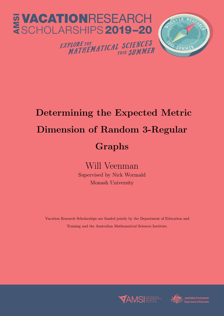

### Determining the Expected Metric Dimension of Random 3-Regular Graphs

Will Veenman Supervised by Nick Wormald Monash University

Vacation Research Scholarships are funded jointly by the Department of Education and Training and the Australian Mathematical Sciences Institute.



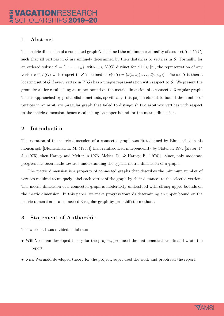### 1 Abstract

The metric dimension of a connected graph G is defined the minimum cardinality of a subset  $S \subset V(G)$ such that all vertices in  $G$  are uniquely determined by their distances to vertices in  $S$ . Formally, for an ordered subset  $S = \{v_1, \ldots, v_n\}$ , with  $v_i \in V(G)$  distinct for all  $i \in [n]$ , the representation of any vertex  $v \in V(G)$  with respect to S is defined as  $r(v|S) = (d(v, v_1), \ldots, d(v, v_n))$ . The set S is then a locating set of G if every vertex in  $V(G)$  has a unique representation with respect to S. We present the groundwork for establishing an upper bound on the metric dimension of a connected 3-regular graph. This is approached by probabilistic methods, specifically, this paper sets out to bound the number of vertices in an arbitrary 3-regular graph that failed to distinguish two arbitrary vertices with respect to the metric dimension, hence establishing an upper bound for the metric dimension.

### 2 Introduction

The notation of the metric dimension of a connected graph was first defined by Blumenthal in his monograph [Blumenthal, L. M. (1953)] then reintroduced independently by Slater in 1975 [Slater, P. J. (1975)] then Harary and Melter in 1976 [Melter, R., & Harary, F. (1976)]. Since, only moderate progress has been made towards understanding the typical metric dimension of a graph.

The metric dimension is a property of connected graphs that describes the minimum number of vertices required to uniquely label each vertex of the graph by their distances to the selected vertices. The metric dimension of a connected graph is moderately understood with strong upper bounds on the metric dimension. In this paper, we make progress towards determining an upper bound on the metric dimension of a connected 3-regular graph by probabilistic methods.

### 3 Statement of Authorship

The workload was divided as follows:

- Will Veenman developed theory for the project, produced the mathematical results and wrote the report.
- Nick Wormald developed theory for the project, supervised the work and proofread the report.

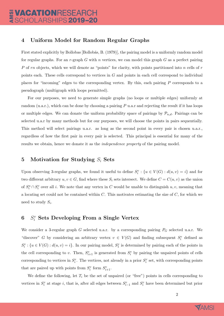### 4 Uniform Model for Random Regular Graphs

First stated explicitly by Bollobas [Bollobás, B. (1979)], the pairing model is a uniformly random model for regular graphs. For an r-graph G with n vertices, we can model this graph G as a perfect pairing P of rn objects, which we will denote as "points" for clarity, with points partitioned into  $n$  cells of  $r$ points each. These cells correspond to vertices in G and points in each cell correspond to individual places for "incoming" edges to the corresponding vertex. By this, each pairing P corresponds to a pseudograph (multigraph with loops permitted).

For our purposes, we need to generate simple graphs (no loops or multiple edges) uniformly at random (u.a.r.), which can be done by choosing a pairing  $P$  u.a.r and rejecting the result if it has loops or multiple edges. We can donate the uniform probability space of pairings by  $\mathcal{P}_{n,d}$ . Pairings can be selected u.a.r by many methods but for our purposes, we will choose the points in pairs sequentially. This method will select pairings u.a.r. as long as the second point in every pair is chosen u.a.r., regardless of how the first pair in every pair is selected. This principal is essential for many of the results we obtain, hence we donate it as the independence property of the pairing model.

#### 5 Motivation for Studying  $S_i$  Sets

Upon observing 3-regular graphs, we found it useful to define  $S_i^v$  :  $\{u \in V(G) : d(u, v) = i\}$  and for two different arbitrary  $u, v \in G$ , find where these  $S_i$  sets intersect. We define  $C = C(u, v)$  as the union of  $S_i^u \cap S_i^v$  over all i. We note that any vertex in C would be unable to distinguish  $u, v$ , meaning that a locating set could not be contained within  $C$ . This motivates estimating the size of  $C$ , for which we need to study  $S_i$ .

### $6 S_i^v$  Sets Developing From a Single Vertex

We consider a 3-regular graph  $G$  selected u.a.r. by a corresponding pairing  $P_G$  selected u.a.r. We "discover" G by considering an arbitrary vertex  $v \in V(G)$  and finding subsequent  $S_i^v$  defined as  $S_i^v: \{u \in V(G) : d(u, v) = i\}$ . In our pairing model,  $S_1^v$  is determined by pairing each of the points in the cell corresponding to v. Then,  $S_{i+1}^v$  is generated from  $S_i^v$  by pairing the unpaired points of cells corresponding to vertices in  $S_i^v$ . The vertices, not already in a prior  $S_i^v$  set, with corresponding points that are paired up with points from  $S_i^v$  form  $S_{i+1}^v$ .

We define the following, let  $T_i$  be the set of unpaired (or "free") points in cells corresponding to vertices in  $S_i^v$  at stage i, that is, after all edges between  $S_{i-1}^v$  and  $S_i^v$  have been determined but prior

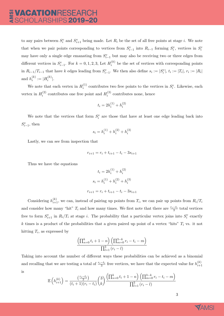to any pairs between  $S_i^v$  and  $S_{i+1}^v$  being made. Let  $R_i$  be the set of all free points at stage *i*. We note that when we pair points corresponding to vertices from  $S_{i-1}^v$  into  $R_{i-1}$  forming  $S_i^v$ , vertices in  $S_i^v$ may have only a single edge emanating from  $S_{i-1}^v$  but may also be receiving two or three edges from different vertices in  $S_{i-1}^v$ . For  $k = 0, 1, 2, 3$ , Let  $H_i^{(k)}$  $i^{(k)}$  be the set of vertices with corresponding points in  $R_{i-1}/T_{i-1}$  that have k edges leading from  $S_{i-1}^v$ . We then also define  $s_i := |S_i^v|$ ,  $t_i := |T_i|$ ,  $r_i := |R_i|$ and  $h_i^{(k)}$  $\binom(k)}{i} := |H_i^{(k)}|$  $\binom{\kappa}{i}$ .

We note that each vertex in  $H_i^{(1)}$  $s_i^{(1)}$  contributes two free points to the vertices in  $S_i^v$ . Likewise, each vertex in  $H_i^{(2)}$  $i^{(2)}$  contributes one free point and  $H_i^{(3)}$  $i^{(0)}$  contributes none, hence

$$
t_i = 2h_i^{(1)} + h_i^{(2)}
$$

We note that the vertices that form  $S_i^v$  are those that have at least one edge leading back into  $S_{i-1}^v$ , then

$$
s_i = h_i^{(1)} + h_i^{(2)} + h_i^{(3)}
$$

Lastly, we can see from inspection that

$$
r_{i+1} = r_i + t_{i+1} - t_i - 3s_{i+1}
$$

Thus we have the equations

$$
t_i = 2h_i^{(1)} + h_i^{(2)}
$$

$$
s_i = h_i^{(1)} + h_i^{(2)} + h_i^{(3)}
$$

$$
r_{i+1} = r_i + t_{i+1} - t_i - 3s_{i+1}
$$

Considering  $h_{i+1}^{(k)}$ , we can, instead of pairing up points from  $T_i$ , we can pair up points from  $R_i/T_i$ and consider how many "hit"  $T_i$  and how many times. We first note that there are  $\frac{r_i-t_i}{3}$  total vertices free to form  $S_{i+1}^v$  in  $R_i/T_i$  at stage i. The probability that a particular vertex joins into  $S_i^v$  exactly k times is a product of the probabilities that a given paired up point of a vertex "hits"  $T_i$  vs. it not hitting  $T_i$ , as expressed by

$$
\frac{\left(\prod_{n=0}^{k} t_i + 1 - n\right) \left(\prod_{m=0}^{3-k} r_i - t_i - m\right)}{\prod_{l=1}^{3} (r_i - l)}
$$

Taking into account the number of different ways these probabilities can be achieved as a binomial and recalling that we are testing a total of  $\frac{r_i-t_i}{3}$  free vertices, we have that the expected value for  $h_{i+1}^{(k)}$  $i+1$ is

$$
\mathbb{E}\left(h_{i+1}^{(k)}\right) = \frac{\left(\frac{r_i - t_i}{3}\right)}{(t_i + 1)(r_i - t_i)} \binom{3}{k} \frac{\left(\prod_{n=0}^{k} t_i + 1 - n\right)\left(\prod_{m=0}^{3-k} r_i - t_i - m\right)}{\prod_{l=1}^{3} (r_i - l)}
$$

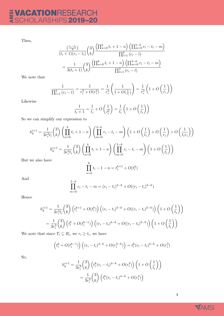# E VACATIONRESEARCH

Then,

$$
\frac{\binom{r_i - t_i}{3}}{(t_i + 1)(r_i - t_i)} \binom{3}{k} \frac{\left(\prod_{n=0}^{k} t_i + 1 - n\right) \left(\prod_{m=0}^{3-k} r_i - t_i - m\right)}{\prod_{l=1}^{3} (r_i - l)}
$$
\n
$$
= \frac{1}{3(t_i + 1)} \binom{3}{k} \frac{\left(\prod_{n=0}^{k} t_i + 1 - n\right) \left(\prod_{m=0}^{3-k} r_i - t_i - m\right)}{\prod_{l=1}^{3} (r_i - l)}
$$

We note that

$$
\frac{1}{\prod_{l=1}^{3} (r_i - l)} = \frac{1}{r_i^3 + O(r_i^2)} = \frac{1}{r_i^3} \left( \frac{1}{1 + O(\frac{1}{r_i})} \right) = \frac{1}{r_i^3} \left( 1 + O\left(\frac{1}{r_i}\right) \right)
$$

Likewise

$$
\frac{1}{t_i+1} = \frac{1}{t_i} + O\left(\frac{1}{t_i^2}\right) = \frac{1}{t_i} \left(1 + O\left(\frac{1}{t_i}\right)\right)
$$

So we can simplify our expression to

$$
h_k^{i+1} = \frac{1}{3r_i^3 t_i} \binom{3}{k} \left( \prod_{n=0}^k t_i + 1 - n \right) \left( \prod_{m=0}^{3-k} r_i - t_i - m \right) \left( 1 + O\left(\frac{1}{t_i}\right) + O\left(\frac{1}{r_i}\right) + O\left(\frac{1}{t_i r_i}\right) \right)
$$
  
\n
$$
h_k^{i+1} = \frac{1}{3r_i^3 t_i} \binom{3}{k} \left( \prod_{n=0}^k t_i + 1 - n \right) \left( \prod_{m=0}^{3-k} r_i - t_i - m \right) \left( 1 + O\left(\frac{1}{t_i}\right) \right)
$$
  
\nwe also have

But we also have

$$
\prod_{n=0}^{k} t_i - 1 - n = t_i^{k+1} + O(t_i^k)
$$

And

$$
\prod_{m=0}^{3-k} r_i - t_i - m = (r_i - t_i)^{4-k} + O((r_i - t_i)^{3-k})
$$

Hence

$$
h_k^{i+1} = \frac{1}{3r_i^3 t_i} {3 \choose k} \left( t_i^{k+1} + O(t_i^k) \right) \left( (r_i - t_i)^{4-k} + O((r_i - t_i)^{3-k}) \right) \left( 1 + O\left(\frac{1}{t_i}\right) \right)
$$
  
= 
$$
\frac{1}{3r_i^3} {3 \choose k} \left( t_i^k + O(t_i^{k-1}) \right) \left( (r_i - t_i)^{4-k} + O((r_i - t_i)^{3-k}) \right) \left( 1 + O\left(\frac{1}{t_i}\right) \right)
$$

We note that since  $T_i \subseteq R_i$ , we  $r_i \geq t_i$ , we have

$$
\left(t_i^k + O(t_i^{k-1})\right) \left( (r_i - t_i)^{4-k} + O(r_i^{3-k}) \right) = t_i^k (r_i - t_i)^{4-k} + O(r_i^3)
$$

So,

$$
h_k^{i+1} = \frac{1}{3r_i^3} {3 \choose k} \left( t_i^k (r_i - t_i)^{4-k} + O(r_i^3) \right) \left( 1 + O\left(\frac{1}{t_i}\right) \right)
$$
  
= 
$$
\frac{1}{3r_i^3} {3 \choose k} \left( t_i^k (r_i - t_i)^{4-k} + O(r_i^3) \right)
$$

4

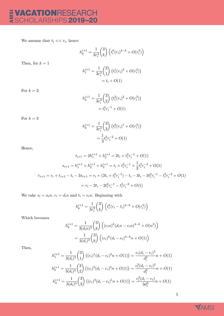## E VACATIONRESEARCH

We assume that  $t_i \ll r_i$ , hence

$$
h_k^{i+1} = \frac{1}{3r_i^3} \binom{3}{k} \left( t_i^k (r_i)^{4-k} + O(r_i^3) \right)
$$

Then, for  $k = 1$ 

$$
h_1^{i+1} = \frac{1}{3r_i^3} {3 \choose 1} (t_i^1(r_i)^3 + O(r_i^3))
$$
  
= t<sub>i</sub> + O(1)

For  $k = 2$ 

$$
h_2^{i+1} = \frac{1}{3r_i^3} {3 \choose 2} (t_i^2(r_i)^2 + O(r_i^3))
$$
  
=  $t_i^2 r_i^{-1} + O(1)$ 

For  $k = 3$ 

$$
h_k^{i+1} = \frac{1}{3r_i^3} {3 \choose 3} (t_i^3(r_i)^1 + O(r_i^3))
$$
  
=  $\frac{1}{3}t_i^3r_i^{-2} + O(1)$ 

Hence,

$$
t_{i+1} = 2h_1^{i+1} + h_2^{i+1} = 2t_i + t_i^2 r_i^{-1} + O(1)
$$
  
\n
$$
s_{i+1} = h_1^{i+1} + h_2^{i+1} + h_3^{i+1} = t_i + t_i^2 r_i^{-1} + \frac{1}{3} t_i^3 r_i^{-2} + O(1)
$$
  
\n
$$
r_{i+1} = r_i + t_{i+1} - t_i - 3s_{i+1} = r_i + (2t_i + t_i^2 r_i^{-1}) - t_i - 3t_i - 3t_i^2 r_i^{-1} - t_i^3 r_i^{-2} + O(1)
$$
  
\n
$$
= r_i - 2t_i - 2t_i^2 r_i^{-1} - t_i^3 r_i^{-2} + O(1)
$$

We take  $s_i = a_i n$ ,  $r_i = d_i n$  and  $t_i = e_i n$ . Beginning with

$$
h_k^{i+1} = \frac{1}{3r_i^3} \binom{3}{k} \left( t_i^k (r_i - t_i)^{4-k} + O(r_i^3) \right)
$$

Which becomes

$$
h_k^{i+1} = \frac{1}{3(d_i n)^3} {3 \choose k} ((e_i n)^k (d_i n - e_i n)^{4-k} + O(n^3))
$$
  
= 
$$
\frac{1}{3(d_i)^3} {3 \choose k} ((e_i)^k (d_i - e_i)^{4-k} n + O(1))
$$

Then,

$$
h_1^{i+1} = \frac{1}{3(d_i)^3} {3 \choose 1} ((e_i)^1 (d_i - e_i)^3 n + O(1)) = \frac{e_i (d_i - e_i)^3}{d_i^3} n + O(1)
$$
  
\n
$$
h_2^{i+1} = \frac{1}{3(d_i)^3} {3 \choose 2} ((e_i)^2 (d_i - e_i)^2 n + O(1)) = \frac{e_i^2 (d_i - e_i)^2}{d_i^3} n + O(1)
$$
  
\n
$$
h_3^{i+1} = \frac{1}{3(d_i)^3} {3 \choose 3} ((e_i)^3 (d_i - e_i)^1 n + O(1)) = \frac{e_i^3 (d_i - e_i)}{3d_i^3} n + O(1)
$$

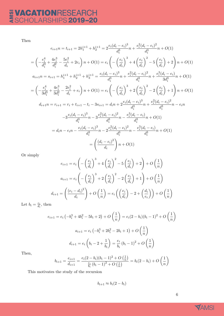# E VACATIONRESEARCH

Then

$$
e_{i+1}n = t_{i+1} = 2h_1^{i+1} + h_2^{i+1} = 2\frac{e_i(d_i - e_i)^3}{d_i^3}n + \frac{e_i^2(d_i - e_i)^2}{d_i^3}n + O(1)
$$
  
\n
$$
= \left(-\frac{e_i^4}{d_i^3} + \frac{4e_i^3}{d_i^2} - \frac{5e_i^2}{d_i} + 2e_i\right)n + O(1) = e_i\left(-\left(\frac{e_i}{d_i}\right)^3 + 4\left(\frac{e_i}{d_i}\right)^2 - 5\left(\frac{e_i}{d_i}\right) + 2\right)n + O(1)
$$
  
\n
$$
a_{i+1}n = s_{i+1} = h_1^{i+1} + h_2^{i+1} + h_3^{i+1} = \frac{e_i(d_i - e_i)^3}{d_i^3}n + \frac{e_i^2(d_i - e_i)^2}{d_i^3}n + \frac{e_i^3(d_i - e_i)}{3d_i^3}n + O(1)
$$
  
\n
$$
= \left(-\frac{e_i^4}{3d_i^3} + \frac{4e_i^3}{3d_i^2} - \frac{2e_i^2}{d_i} + e_i\right)n + O(1) = e_i\left(-\left(\frac{e_i}{d_i}\right)^3 + 2\left(\frac{e_i}{d_i}\right)^2 - 2\left(\frac{e_i}{d_i}\right) + 1\right)n + O(1)
$$
  
\n
$$
d_{i+1}n = r_{i+1} = r_i + t_{i+1} - t_i - 3s_{i+1} = d_i n + 2\frac{e_i(d_i - e_i)^3}{d_i^3}n + \frac{e_i^2(d_i - e_i)^2}{d_i^3}n - e_i n
$$
  
\n
$$
-3\frac{e_i(d_i - e_i)^3}{d_i^3}n - 3\frac{e_i^2(d_i - e_i)^2}{d_i^3}n - \frac{e_i^3(d_i - e_i)}{d_i^3}n + O(1)
$$
  
\n
$$
= d_i n - e_i n - \frac{e_i(d_i - e_i)^3}{d_i^3}n - 2\frac{e_i^2(d_i - e_i)^2}{d_i^3}n - \frac{e_i^3(d_i - e_i)}{d_i^3}n + O(1)
$$
  
\n
$$
= \left(\frac{(d
$$

Or simply

$$
e_{i+1} = e_i \left( -\left(\frac{e_i}{d_i}\right)^3 + 4\left(\frac{e_i}{d_i}\right)^2 - 5\left(\frac{e_i}{d_i}\right) + 2\right) + O\left(\frac{1}{n}\right)
$$

$$
a_{i+1} = e_i \left( -\left(\frac{e_i}{d_i}\right)^3 + 2\left(\frac{e_i}{d_i}\right)^2 - 2\left(\frac{e_i}{d_i}\right) + 1\right) + O\left(\frac{1}{n}\right)
$$

$$
d_{i+1} = \left(\frac{(e_i - d_i)^2}{d_i}\right) + O\left(\frac{1}{n}\right) = e_i \left(\left(\frac{e_i}{d_i}\right) - 2 + \left(\frac{d_i}{e_i}\right)\right) + O\left(\frac{1}{n}\right)
$$

Let  $b_i = \frac{e_i}{d_i}$  $\frac{e_i}{d_i}$ , then

$$
e_{i+1} = e_i \left( -b_i^3 + 4b_i^2 - 5b_i + 2 \right) + O\left(\frac{1}{n}\right) = e_i (2 - b_i)(b_i - 1)^2 + O\left(\frac{1}{n}\right)
$$

$$
a_{i+1} = e_i \left( -b_i^3 + 2b_i^2 - 2b_i + 1 \right) + O\left(\frac{1}{n}\right)
$$

$$
d_{i+1} = e_i \left( b_i - 2 + \frac{1}{b_i} \right) = \frac{e_i}{b_i} (b_i - 1)^2 + O\left(\frac{1}{n}\right)
$$

Then,

$$
b_{i+1} = \frac{e_{i+1}}{d_{i+1}} = \frac{e_i(2 - b_i)(b_i - 1)^2 + O\left(\frac{1}{n}\right)}{\frac{e_i}{b_i}(b_i - 1)^2 + O\left(\frac{1}{n}\right)} = b_i(2 - b_i) + O\left(\frac{1}{n}\right)
$$

This motivates the study of the recursion

 $b_{i+1} \approx b_i(2 - b_i)$ 

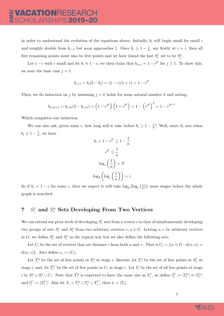in order to understand the evolution of the equations above. Initially,  $b_i$  will begin small for small i and roughly double from  $b_{i-1}$  but soon approaches 1. Once  $b_i \geq 1 - \frac{1}{n}$  $\frac{1}{n}$ , say firstly at  $i = \hat{i}$ , then all free remaining points must also be free points and we have found the last  $S_i^v$  set to be  $S_i^v$ .

Let  $1 - \epsilon$  with  $\epsilon$  small and let  $b_i \approx 1 - \epsilon$ , we then claim that  $b_{i+j} = 1 - \epsilon^{2^j}$  for  $j \ge 1$ . To show this, we note the base case  $j = 1$ 

$$
b_{i+1} = b_i(2 - b_i) = (1 - \epsilon)(1 + \epsilon) = 1 - \epsilon^{2^1}
$$

Then, we do induction on j by assuming  $j = k$  holds for some natural number k and noting,

$$
b_{i+k+1} = b_{i+k}(2 - b_{i+k}) = \left(1 - \epsilon^{2^k}\right)\left(1 + \epsilon^{2^k}\right) = 1 - \left(\epsilon^{2^k}\right)^2 = 1 - \epsilon^{2^{k+1}}
$$

Which completes our induction.

We can also ask, given some  $\epsilon$ , how long will it take before  $b_i \geq 1 - \frac{1}{n}$  $\frac{1}{n}$ ? Well, since  $S_i$  sets when  $b_i \geq 1-\frac{1}{n}$  $\frac{1}{n}$ , we have

$$
b_i = 1 - \epsilon^{2^i} \ge 1 - \frac{1}{n}
$$

$$
\epsilon^{2^i} \le \frac{1}{n}
$$

$$
\log_{\epsilon} \left(\frac{1}{n}\right) = 2^i
$$

$$
\log_2 \left(\log_{\epsilon} \left(\frac{1}{n}\right)\right) = i
$$

So if  $b_i = 1 - \epsilon$  for some *i*, then we expect it will take  $\log_2 (\log_{\epsilon} (\frac{1}{n})$  $(\frac{1}{n})$  more stages before the whole graph is searched.

### $7 S_i^v$  and  $S_i^u$  Sets Developing From Two Vertices

We can extend our prior work of developing  $S_i^v$  sets from a vertex  $v$  to that of simultaneously developing two groups of sets  $S_i^v$  and  $S_i^u$  from two arbitrary vertices  $v, u \in G$ . Letting  $u, v$  be arbitrary vertices in G, we define  $S_i^v$  and  $S_i^v$  in the typical way but we also define the following sets:

Let  $C_i$  be the set of vertices that are distance i from both u and v. That is  $C_i = \{w \in G : d(w, u) =$  $d(w, v)$ . Also define  $c_i := |C_i|$ .

Let  $T_i^u$  be the set of free points in  $S_i^u$  at stage i, likewise, let  $T_i^v$  be the set of free points in  $S_i^v$  at stage *i*, and, let  $T_i^C$  be the set of free points in  $C_i$  at stage *i*. Let  $T_i$  be the set of all free points at stage i in  $S_i^u \cup S_i^v \cup C_i$ . Note that  $T_i^u$  is expected to have the same size as  $T_i^v$ , so define  $t_i^S := |T_i^u| \approx |T_i^v|$ and  $t_i^C := |T_i^C|$ . Also let  $T_i = T_i^u \cup T_i^v \cup T_i^C$ , then  $t_i = |T_i|$ .

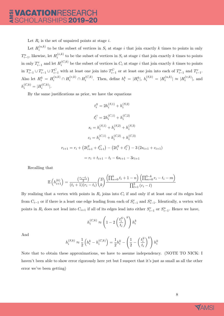Let  $R_i$  is the set of unpaired points at stage *i*.

Let  $H_i^{(u,k)}$  $i^{(u,\kappa)}$  to be the subset of vertices in  $S_i$  at stage i that join exactly k times to points in only  $T_{i-1}^u$ , likewise, let  $H_i^{(v,k)}$  $i^{(v,\kappa)}$  to be the subset of vertices in  $S_i$  at stage i that join exactly k times to points in only  $T_{i-1}^v$  and let  $H_i^{(C,k)}$  $i_i^{(C,\kappa)}$  be the subset of vertices in  $C_i$  at stage i that join exactly k times to points in  $T_{i-1}^u \cup T_{i-1}^v \cup T_{i-1}^C$  with at least one join into  $T_{i-1}^C$  or at least one join into each of  $T_{i-1}^u$  and  $T_{i-1}^v$ . Also let  $H_i^k = H_i^{(u,k)} \cap H_i^{(v,k)} \cap H_i^{(C,k)}$  $i_i^{(C,k)}$ . Then, define  $h_i^k = |H_i^k|$ ,  $h_i^{(S,k)} = |H_i^{(u,k)}|$  $|u^{(u,k)}_i| \approx |H_i^{(v,k)}|$  $\binom{[v,\kappa)}{i}$ , and  $h_i^{(C,k)} = |H_i^{(C,k)}|$  $\binom{(\mathsf{C},\kappa)}{i}$ .

By the same justifications as prior, we have the equations

$$
t_i^S = 2h_i^{(S,1)} + h_i^{(S,2)}
$$
  
\n
$$
t_i^C = 2h_i^{(C,1)} + h_i^{(C,2)}
$$
  
\n
$$
s_i = h_i^{(S,1)} + h_i^{(S,2)} + h_i^{(S,3)}
$$
  
\n
$$
c_i = h_i^{(C,1)} + h_i^{(C,2)} + h_i^{(C,3)}
$$
  
\n
$$
r_{i+1} = r_i + (2t_{i+1}^S + t_{i+1}^C) - (2t_i^S + t_i^C) - 3(2s_{i+1} + c_{i+1})
$$
  
\n
$$
= r_i + t_{i+1} - t_i - 6s_{i+1} - 3c_{i+1}
$$

Recalling that

$$
\mathbb{E}\left(h_{i+1}^{(k)}\right) = \frac{\binom{r_i - t_i}{3}}{(t_i + 1)(r_i - t_i)} \binom{3}{k} \frac{\left(\prod_{n=0}^{k} t_i + 1 - n\right)\left(\prod_{m=0}^{3-k} r_i - t_i - m\right)}{\prod_{l=1}^{3} (r_i - l)}
$$

By realizing that a vertex with points in  $R_i$  joins into  $C_i$  if and only if at least one of its edges lead from  $C_{i-1}$  or if there is a least one edge leading from each of  $S_{i-1}^v$  and  $S_{i-1}^u$ . Identically, a vertex with points in  $R_i$  does not lead into  $C_{i+1}$  if all of its edges lead into either  $S_{i-1}^v$  or  $S_{i-1}^u$ . Hence we have,

$$
h_i^{(C,k)} \approx \left(1 - 2\left(\frac{t_i^S}{t_i}\right)^k\right) h_i^k
$$

And

$$
h_i^{(S,k)} \approx \frac{1}{2}\left(h_i^k - h_i^{(C,k)}\right) = \frac{1}{2}h_i^k - \left(\frac{1}{2} - \left(\frac{t_i^S}{t_i}\right)^k\right)h_i^k
$$

Note that to obtain these approximations, we have to assume independency. (NOTE TO NICK: I haven't been able to show error rigorously here yet but I suspect that it's just as small as all the other error we've been getting)

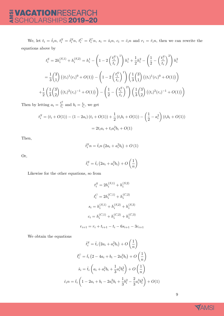We, let  $t_i = \hat{t}_i n$ ,  $t_i^S = \hat{t}_i^S n$ ,  $t_i^C = \hat{t}_i^C n$ ,  $s_i = \hat{s}_i n$ ,  $c_i = \hat{c}_i n$  and  $r_i = \hat{r}_i n$ , then we can rewrite the equations above by

$$
t_i^S = 2h_i^{(S,1)} + h_i^{(S,2)} = h_i^1 - \left(1 - 2\left(\frac{t_i^S}{t_i}\right)^1\right)h_i^1 + \frac{1}{2}h_i^2 - \left(\frac{1}{2} - \left(\frac{t_i^S}{t_i}\right)^2\right)h_i^2
$$
  

$$
= \frac{1}{3}\binom{3}{1}\left((t_i)^1(r_i)^0 + O(1)\right) - \left(1 - 2\left(\frac{t_i^S}{t_i}\right)^1\right)\left(\frac{1}{3}\binom{3}{1}\left((t_i)^1(r_i)^0 + O(1)\right)\right)
$$
  

$$
+ \frac{1}{2}\left(\frac{1}{3}\binom{3}{2}\left((t_i)^2(r_i)^{-1} + O(1)\right)\right) - \left(\frac{1}{2} - \left(\frac{t_i^S}{t_i}\right)^2\right)\left(\frac{1}{3}\binom{3}{2}\left((t_i)^2(r_i)^{-1} + O(1)\right)\right)
$$

Then by letting  $a_i = \frac{t_i^S}{t_i}$  and  $b_i = \frac{t_i}{r_i}$  $\frac{t_i}{r_i}$ , we get

$$
t_i^S = (t_i + O(1)) - (1 - 2a_i)(t_i + O(1)) + \frac{1}{2}(t_i b_i + O(1)) - \left(\frac{1}{2} - a_i^2\right)(t_i b_i + O(1))
$$
  
=  $2t_i a_i + t_i a_i^2 b_i + O(1)$ 

Then,

$$
\hat{t}_i^S n = \hat{t}_i n \left( 2a_i + a_i^2 b_i \right) + O\left(1\right)
$$

Or,

$$
\hat{t}_i^S = \hat{t}_i \left( 2a_i + a_i^2 b_i \right) + O\left(\frac{1}{n}\right)
$$

Likewise for the other equations, so from

$$
t_i^S = 2h_i^{(S,1)} + h_i^{(S,2)}
$$

$$
t_i^C = 2h_i^{(C,1)} + h_i^{(C,2)}
$$

$$
s_i = h_i^{(S,1)} + h_i^{(S,2)} + h_i^{(S,3)}
$$

$$
c_i = h_i^{(C,1)} + h_i^{(C,2)} + h_i^{(C,3)}
$$

$$
r_{i+1} = r_i + t_{i+1} - t_i - 6s_{i+1} - 3c_{i+1}
$$

We obtain the equations

$$
\hat{t}_i^S = \hat{t}_i (2a_i + a_i^2 b_i) + O\left(\frac{1}{n}\right)
$$

$$
\hat{t}_i^C = \hat{t}_i (2 - 4a_i + b_i - 2a_i^2 b_i) + O\left(\frac{1}{n}\right)
$$

$$
\hat{s}_i = \hat{t}_i \left(a_i + a_i^2 b_i + \frac{1}{3} a_i^3 b_i^2\right) + O\left(\frac{1}{n}\right)
$$

$$
\hat{c}_i n = \hat{t}_i \left(1 - 2a_i + b_i - 2a_i^2 b_i + \frac{1}{3} b_i^2 - \frac{2}{3} a_i^3 b_i^2\right) + O(1)
$$

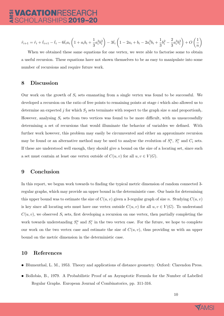$$
\hat{r}_{i+1} = \hat{r}_i + \hat{t}_{i+1} - \hat{t}_i - 6\hat{t}_ia_i\left(1 + a_ib_i + \frac{1}{3}a_i^2b_i^2\right) - 3\hat{t}_i\left(1 - 2a_i + b_i - 2a_i^2b_i + \frac{1}{3}b_i^2 - \frac{2}{3}a_i^3b_i^2\right) + O\left(\frac{1}{n}\right)
$$

When we obtained these same equations for one vertex, we were able to factorise some to obtain a useful recursion. These equations have not shown themselves to be as easy to manipulate into some number of recursions and require future work.

#### 8 Discussion

Our work on the growth of  $S_i$  sets emanating from a single vertex was found to be successful. We developed a recursion on the ratio of free points to remaining points at stage i which also allowed us to determine an expected j for which  $S_j$  sets terminate with respect to the graph size n and proportion $b_i$ . However, analysing  $S_i$  sets from two vertices was found to be more difficult, with us unsuccessfully determining a set of recursions that would illuminate the behavior of variables we defined. With further work however, this problem may easily be circumvented and either an approximate recursion may be found or an alternative method may be used to analyse the evolution of  $S_i^u$ ,  $S_i^v$  and  $C_i$  sets. If these are understood well enough, they should give a bound on the size of a locating set, since such a set must contain at least one vertex outside of  $C(u, v)$  for all  $u, v \in V(G)$ .

### 9 Conclusion

In this report, we begun work towards to finding the typical metric dimension of random connected 3 regular graphs, which may provide an upper bound in the deterministic case. Our basis for determining this upper bound was to estimate the size of  $C(u, v)$  given a 3-regular graph of size n. Studying  $C(u, v)$ is key since all locating sets must have one vertex outside  $C(u, v)$  for all  $u, v \in V(G)$ . To understand  $C(u, v)$ , we observed  $S_i$  sets, first developing a recursion on one vertex, then partially completing the work towards understanding  $S_i^u$  and  $S_i^v$  in the two vertex case. For the future, we hope to complete our work on the two vertex case and estimate the size of  $C(u, v)$ , thus providing us with an upper bound on the metric dimension in the deterministic case.

#### 10 References

- Blumenthal, L. M., 1953. Theory and applications of distance geometry. Oxford: Clarendon Press.
- Bollobás, B., 1979. A Probabilistic Proof of an Asymptotic Formula for the Number of Labelled Regular Graphs. European Journal of Combinatorics, pp. 311-316.